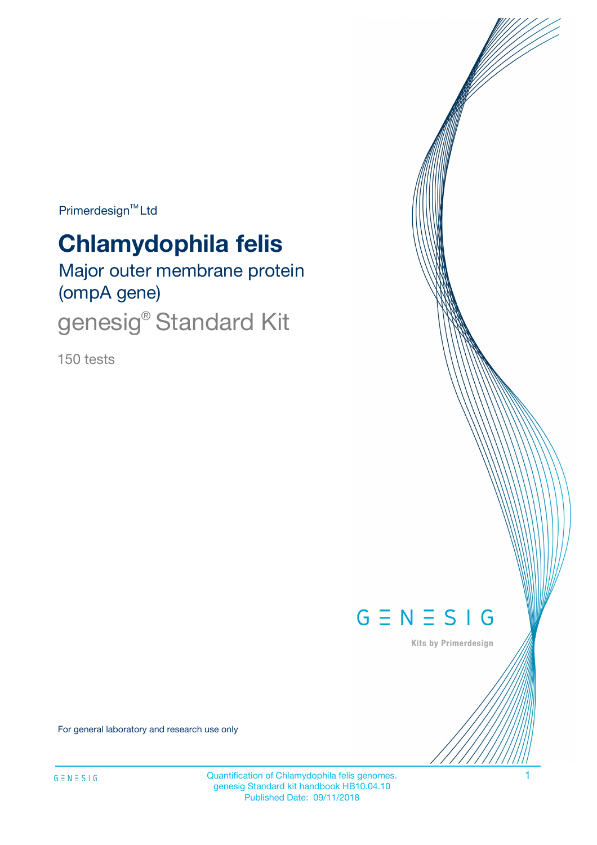Primerdesign<sup>™</sup>Ltd

# **Chlamydophila felis**

Major outer membrane protein (ompA gene)

genesig<sup>®</sup> Standard Kit

150 tests



Kits by Primerdesign

For general laboratory and research use only

Quantification of Chlamydophila felis genomes. 1 genesig Standard kit handbook HB10.04.10 Published Date: 09/11/2018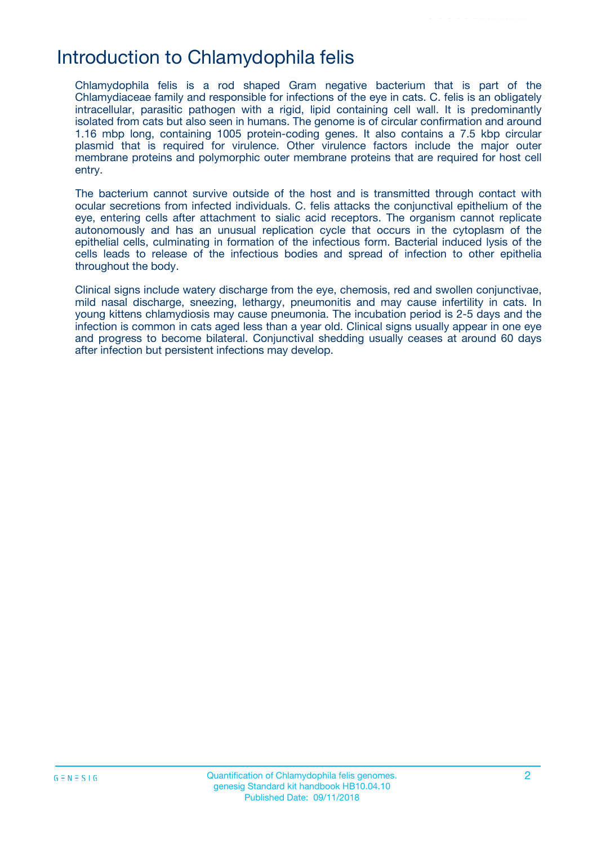## Introduction to Chlamydophila felis

Chlamydophila felis is a rod shaped Gram negative bacterium that is part of the Chlamydiaceae family and responsible for infections of the eye in cats. C. felis is an obligately intracellular, parasitic pathogen with a rigid, lipid containing cell wall. It is predominantly isolated from cats but also seen in humans. The genome is of circular confirmation and around 1.16 mbp long, containing 1005 protein-coding genes. It also contains a 7.5 kbp circular plasmid that is required for virulence. Other virulence factors include the major outer membrane proteins and polymorphic outer membrane proteins that are required for host cell entry.

The bacterium cannot survive outside of the host and is transmitted through contact with ocular secretions from infected individuals. C. felis attacks the conjunctival epithelium of the eye, entering cells after attachment to sialic acid receptors. The organism cannot replicate autonomously and has an unusual replication cycle that occurs in the cytoplasm of the epithelial cells, culminating in formation of the infectious form. Bacterial induced lysis of the cells leads to release of the infectious bodies and spread of infection to other epithelia throughout the body.

Clinical signs include watery discharge from the eye, chemosis, red and swollen conjunctivae, mild nasal discharge, sneezing, lethargy, pneumonitis and may cause infertility in cats. In young kittens chlamydiosis may cause pneumonia. The incubation period is 2-5 days and the infection is common in cats aged less than a year old. Clinical signs usually appear in one eye and progress to become bilateral. Conjunctival shedding usually ceases at around 60 days after infection but persistent infections may develop.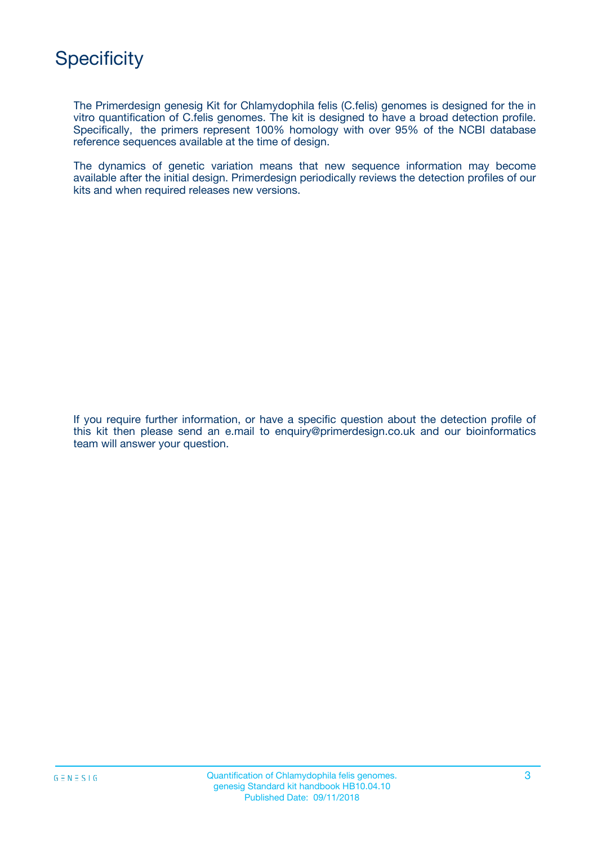

The Primerdesign genesig Kit for Chlamydophila felis (C.felis) genomes is designed for the in vitro quantification of C.felis genomes. The kit is designed to have a broad detection profile. Specifically, the primers represent 100% homology with over 95% of the NCBI database reference sequences available at the time of design.

The dynamics of genetic variation means that new sequence information may become available after the initial design. Primerdesign periodically reviews the detection profiles of our kits and when required releases new versions.

If you require further information, or have a specific question about the detection profile of this kit then please send an e.mail to enquiry@primerdesign.co.uk and our bioinformatics team will answer your question.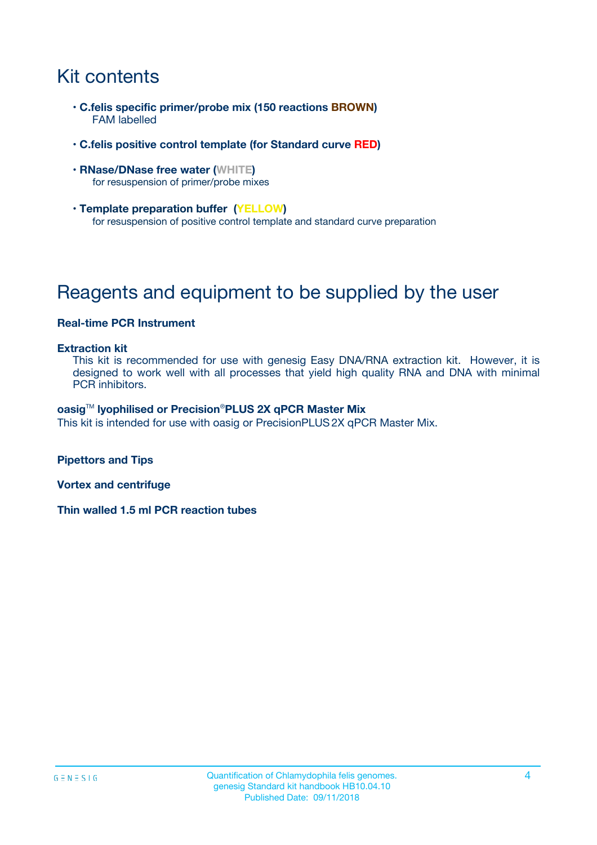# Kit contents

- **C.felis specific primer/probe mix (150 reactions BROWN)** FAM labelled
- **C.felis positive control template (for Standard curve RED)**
- **RNase/DNase free water (WHITE)** for resuspension of primer/probe mixes
- **Template preparation buffer (YELLOW)** for resuspension of positive control template and standard curve preparation

# Reagents and equipment to be supplied by the user

#### **Real-time PCR Instrument**

#### **Extraction kit**

This kit is recommended for use with genesig Easy DNA/RNA extraction kit. However, it is designed to work well with all processes that yield high quality RNA and DNA with minimal PCR inhibitors.

#### **oasig**TM **lyophilised or Precision**®**PLUS 2X qPCR Master Mix**

This kit is intended for use with oasig or PrecisionPLUS2X qPCR Master Mix.

**Pipettors and Tips**

**Vortex and centrifuge**

**Thin walled 1.5 ml PCR reaction tubes**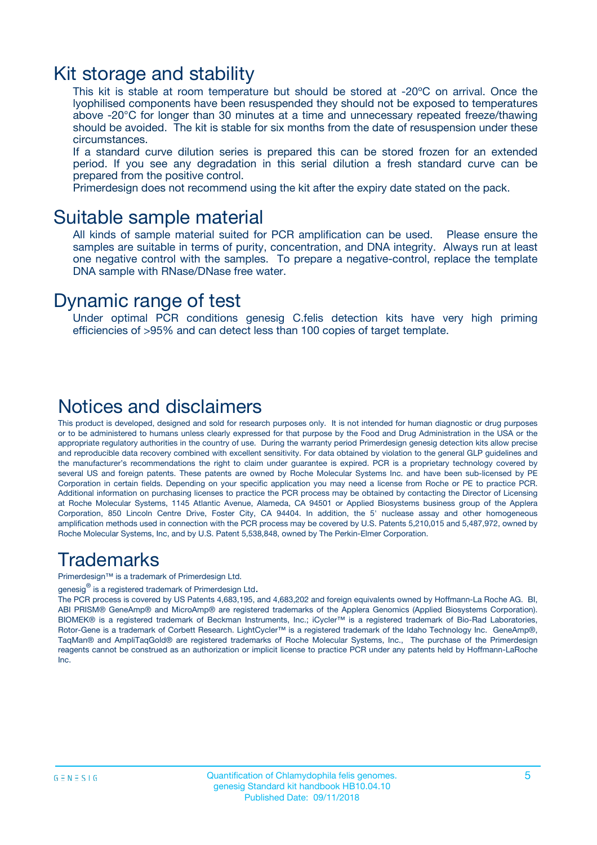### Kit storage and stability

This kit is stable at room temperature but should be stored at -20ºC on arrival. Once the lyophilised components have been resuspended they should not be exposed to temperatures above -20°C for longer than 30 minutes at a time and unnecessary repeated freeze/thawing should be avoided. The kit is stable for six months from the date of resuspension under these circumstances.

If a standard curve dilution series is prepared this can be stored frozen for an extended period. If you see any degradation in this serial dilution a fresh standard curve can be prepared from the positive control.

Primerdesign does not recommend using the kit after the expiry date stated on the pack.

### Suitable sample material

All kinds of sample material suited for PCR amplification can be used. Please ensure the samples are suitable in terms of purity, concentration, and DNA integrity. Always run at least one negative control with the samples. To prepare a negative-control, replace the template DNA sample with RNase/DNase free water.

### Dynamic range of test

Under optimal PCR conditions genesig C.felis detection kits have very high priming efficiencies of >95% and can detect less than 100 copies of target template.

### Notices and disclaimers

This product is developed, designed and sold for research purposes only. It is not intended for human diagnostic or drug purposes or to be administered to humans unless clearly expressed for that purpose by the Food and Drug Administration in the USA or the appropriate regulatory authorities in the country of use. During the warranty period Primerdesign genesig detection kits allow precise and reproducible data recovery combined with excellent sensitivity. For data obtained by violation to the general GLP guidelines and the manufacturer's recommendations the right to claim under guarantee is expired. PCR is a proprietary technology covered by several US and foreign patents. These patents are owned by Roche Molecular Systems Inc. and have been sub-licensed by PE Corporation in certain fields. Depending on your specific application you may need a license from Roche or PE to practice PCR. Additional information on purchasing licenses to practice the PCR process may be obtained by contacting the Director of Licensing at Roche Molecular Systems, 1145 Atlantic Avenue, Alameda, CA 94501 or Applied Biosystems business group of the Applera Corporation, 850 Lincoln Centre Drive, Foster City, CA 94404. In addition, the 5' nuclease assay and other homogeneous amplification methods used in connection with the PCR process may be covered by U.S. Patents 5,210,015 and 5,487,972, owned by Roche Molecular Systems, Inc, and by U.S. Patent 5,538,848, owned by The Perkin-Elmer Corporation.

### Trademarks

Primerdesign™ is a trademark of Primerdesign Ltd.

genesig $^\circledR$  is a registered trademark of Primerdesign Ltd.

The PCR process is covered by US Patents 4,683,195, and 4,683,202 and foreign equivalents owned by Hoffmann-La Roche AG. BI, ABI PRISM® GeneAmp® and MicroAmp® are registered trademarks of the Applera Genomics (Applied Biosystems Corporation). BIOMEK® is a registered trademark of Beckman Instruments, Inc.; iCycler™ is a registered trademark of Bio-Rad Laboratories, Rotor-Gene is a trademark of Corbett Research. LightCycler™ is a registered trademark of the Idaho Technology Inc. GeneAmp®, TaqMan® and AmpliTaqGold® are registered trademarks of Roche Molecular Systems, Inc., The purchase of the Primerdesign reagents cannot be construed as an authorization or implicit license to practice PCR under any patents held by Hoffmann-LaRoche Inc.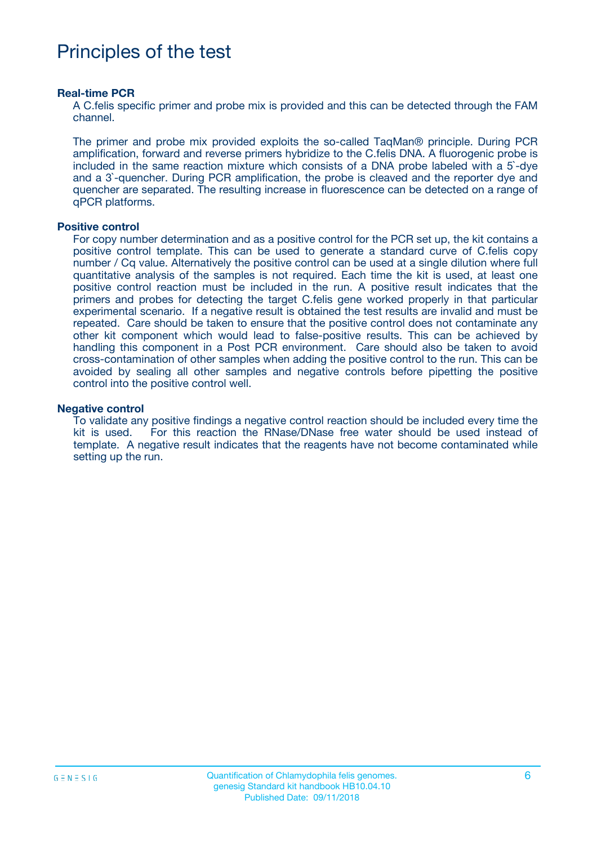# Principles of the test

#### **Real-time PCR**

A C.felis specific primer and probe mix is provided and this can be detected through the FAM channel.

The primer and probe mix provided exploits the so-called TaqMan® principle. During PCR amplification, forward and reverse primers hybridize to the C.felis DNA. A fluorogenic probe is included in the same reaction mixture which consists of a DNA probe labeled with a 5`-dye and a 3`-quencher. During PCR amplification, the probe is cleaved and the reporter dye and quencher are separated. The resulting increase in fluorescence can be detected on a range of qPCR platforms.

#### **Positive control**

For copy number determination and as a positive control for the PCR set up, the kit contains a positive control template. This can be used to generate a standard curve of C.felis copy number / Cq value. Alternatively the positive control can be used at a single dilution where full quantitative analysis of the samples is not required. Each time the kit is used, at least one positive control reaction must be included in the run. A positive result indicates that the primers and probes for detecting the target C.felis gene worked properly in that particular experimental scenario. If a negative result is obtained the test results are invalid and must be repeated. Care should be taken to ensure that the positive control does not contaminate any other kit component which would lead to false-positive results. This can be achieved by handling this component in a Post PCR environment. Care should also be taken to avoid cross-contamination of other samples when adding the positive control to the run. This can be avoided by sealing all other samples and negative controls before pipetting the positive control into the positive control well.

#### **Negative control**

To validate any positive findings a negative control reaction should be included every time the kit is used. For this reaction the RNase/DNase free water should be used instead of template. A negative result indicates that the reagents have not become contaminated while setting up the run.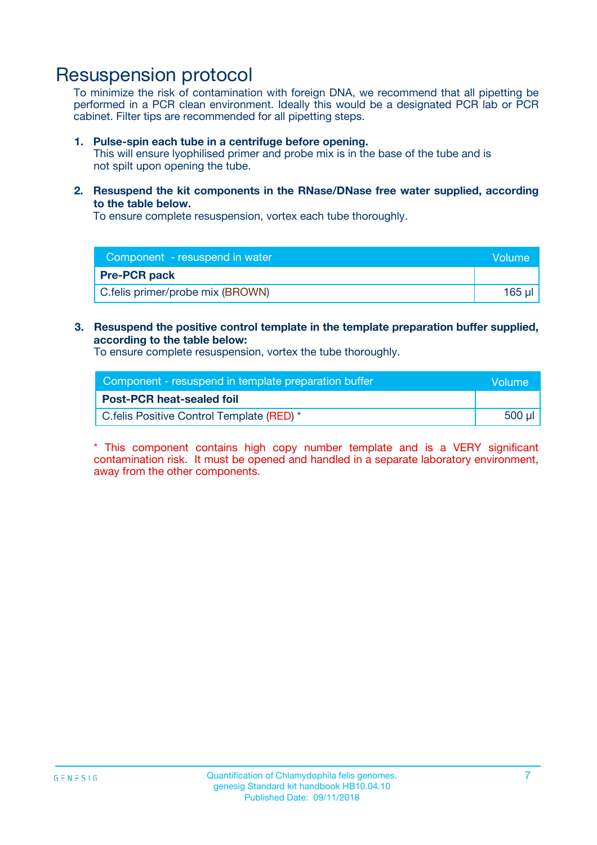## Resuspension protocol

To minimize the risk of contamination with foreign DNA, we recommend that all pipetting be performed in a PCR clean environment. Ideally this would be a designated PCR lab or PCR cabinet. Filter tips are recommended for all pipetting steps.

#### **1. Pulse-spin each tube in a centrifuge before opening.**

This will ensure lyophilised primer and probe mix is in the base of the tube and is not spilt upon opening the tube.

**2. Resuspend the kit components in the RNase/DNase free water supplied, according to the table below.**

To ensure complete resuspension, vortex each tube thoroughly.

| Component - resuspend in water<br>Volume |             |
|------------------------------------------|-------------|
| <b>Pre-PCR pack</b>                      |             |
| C.felis primer/probe mix (BROWN)         | $165$ $\mu$ |

### **3. Resuspend the positive control template in the template preparation buffer supplied, according to the table below:**

To ensure complete resuspension, vortex the tube thoroughly.

| Component - resuspend in template preparation buffer |        |  |
|------------------------------------------------------|--------|--|
| <b>Post-PCR heat-sealed foil</b>                     |        |  |
| C. felis Positive Control Template (RED) *           | 500 µl |  |

\* This component contains high copy number template and is a VERY significant contamination risk. It must be opened and handled in a separate laboratory environment, away from the other components.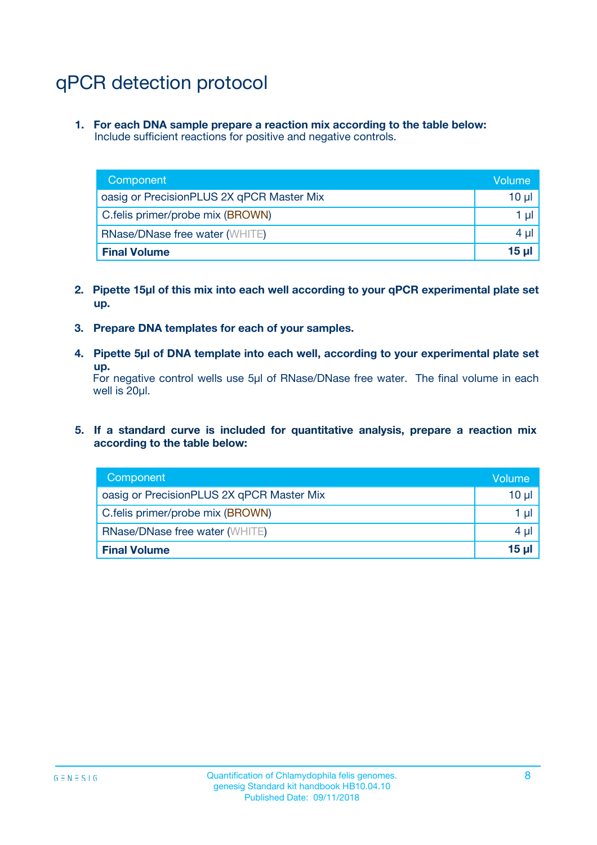# qPCR detection protocol

**1. For each DNA sample prepare a reaction mix according to the table below:** Include sufficient reactions for positive and negative controls.

| Component                                 | Volume           |
|-------------------------------------------|------------------|
| oasig or PrecisionPLUS 2X qPCR Master Mix | 10 $\mu$         |
| C.felis primer/probe mix (BROWN)          | 1 $\mu$          |
| <b>RNase/DNase free water (WHITE)</b>     | $4 \mu$          |
| <b>Final Volume</b>                       | 15 <sub>ul</sub> |

- **2. Pipette 15µl of this mix into each well according to your qPCR experimental plate set up.**
- **3. Prepare DNA templates for each of your samples.**
- **4. Pipette 5µl of DNA template into each well, according to your experimental plate set up.**

For negative control wells use 5µl of RNase/DNase free water. The final volume in each well is 20µl.

**5. If a standard curve is included for quantitative analysis, prepare a reaction mix according to the table below:**

| Component                                 | Volume          |
|-------------------------------------------|-----------------|
| oasig or PrecisionPLUS 2X qPCR Master Mix | 10 µl           |
| C.felis primer/probe mix (BROWN)          | 1 µI            |
| <b>RNase/DNase free water (WHITE)</b>     | $4 \mu$         |
| <b>Final Volume</b>                       | 15 <sub>µ</sub> |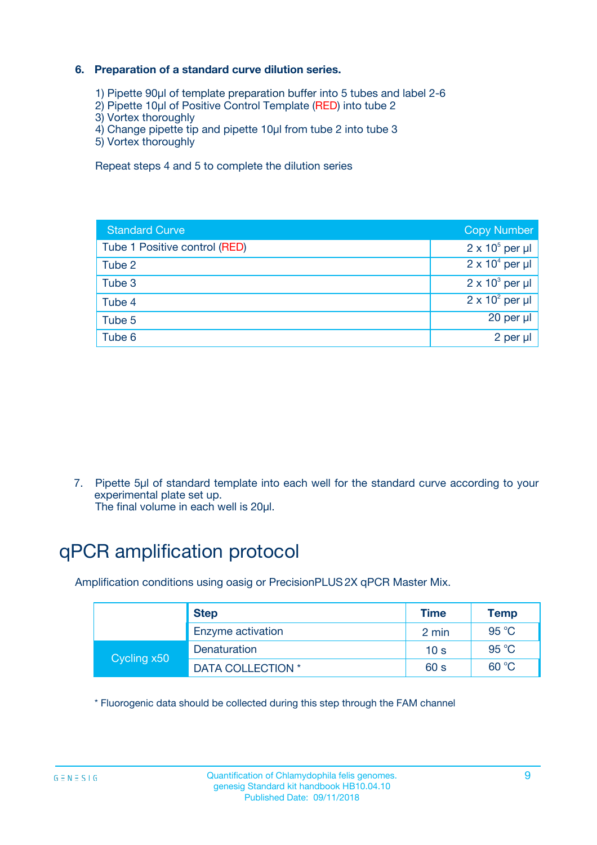### **6. Preparation of a standard curve dilution series.**

- 1) Pipette 90µl of template preparation buffer into 5 tubes and label 2-6
- 2) Pipette 10µl of Positive Control Template (RED) into tube 2
- 3) Vortex thoroughly
- 4) Change pipette tip and pipette 10µl from tube 2 into tube 3
- 5) Vortex thoroughly

Repeat steps 4 and 5 to complete the dilution series

| <b>Standard Curve</b>         | <b>Copy Number</b>     |
|-------------------------------|------------------------|
| Tube 1 Positive control (RED) | $2 \times 10^5$ per µl |
| Tube 2                        | $2 \times 10^4$ per µl |
| Tube 3                        | $2 \times 10^3$ per µl |
| Tube 4                        | $2 \times 10^2$ per µl |
| Tube 5                        | 20 per µl              |
| Tube 6                        | 2 per ul               |

7. Pipette 5µl of standard template into each well for the standard curve according to your experimental plate set up.

The final volume in each well is 20µl.

# qPCR amplification protocol

Amplification conditions using oasig or PrecisionPLUS2X qPCR Master Mix.

|             | <b>Step</b>       | <b>Time</b>     | Temp    |
|-------------|-------------------|-----------------|---------|
|             | Enzyme activation | 2 min           | 95 °C   |
| Cycling x50 | Denaturation      | 10 <sub>s</sub> | 95 $°C$ |
|             | DATA COLLECTION * | 60 s            | 60 °C   |

\* Fluorogenic data should be collected during this step through the FAM channel